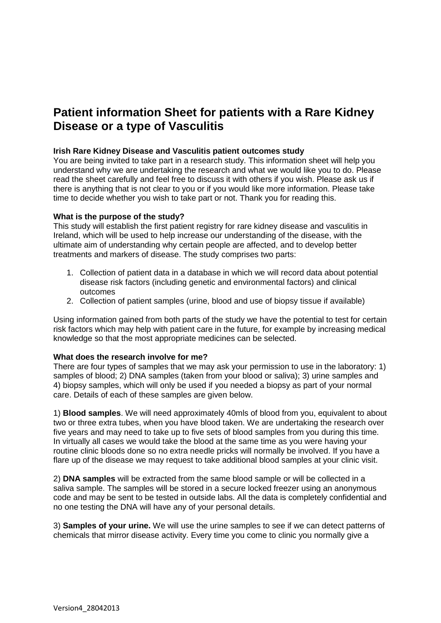# **Patient information Sheet for patients with a Rare Kidney Disease or a type of Vasculitis**

# **Irish Rare Kidney Disease and Vasculitis patient outcomes study**

You are being invited to take part in a research study. This information sheet will help you understand why we are undertaking the research and what we would like you to do. Please read the sheet carefully and feel free to discuss it with others if you wish. Please ask us if there is anything that is not clear to you or if you would like more information. Please take time to decide whether you wish to take part or not. Thank you for reading this.

## **What is the purpose of the study?**

This study will establish the first patient registry for rare kidney disease and vasculitis in Ireland, which will be used to help increase our understanding of the disease, with the ultimate aim of understanding why certain people are affected, and to develop better treatments and markers of disease. The study comprises two parts:

- 1. Collection of patient data in a database in which we will record data about potential disease risk factors (including genetic and environmental factors) and clinical outcomes
- 2. Collection of patient samples (urine, blood and use of biopsy tissue if available)

Using information gained from both parts of the study we have the potential to test for certain risk factors which may help with patient care in the future, for example by increasing medical knowledge so that the most appropriate medicines can be selected.

#### **What does the research involve for me?**

There are four types of samples that we may ask your permission to use in the laboratory: 1) samples of blood; 2) DNA samples (taken from your blood or saliva); 3) urine samples and 4) biopsy samples, which will only be used if you needed a biopsy as part of your normal care. Details of each of these samples are given below.

1) **Blood samples**. We will need approximately 40mls of blood from you, equivalent to about two or three extra tubes, when you have blood taken. We are undertaking the research over five years and may need to take up to five sets of blood samples from you during this time. In virtually all cases we would take the blood at the same time as you were having your routine clinic bloods done so no extra needle pricks will normally be involved. If you have a flare up of the disease we may request to take additional blood samples at your clinic visit.

2) **DNA samples** will be extracted from the same blood sample or will be collected in a saliva sample. The samples will be stored in a secure locked freezer using an anonymous code and may be sent to be tested in outside labs. All the data is completely confidential and no one testing the DNA will have any of your personal details.

3) **Samples of your urine.** We will use the urine samples to see if we can detect patterns of chemicals that mirror disease activity. Every time you come to clinic you normally give a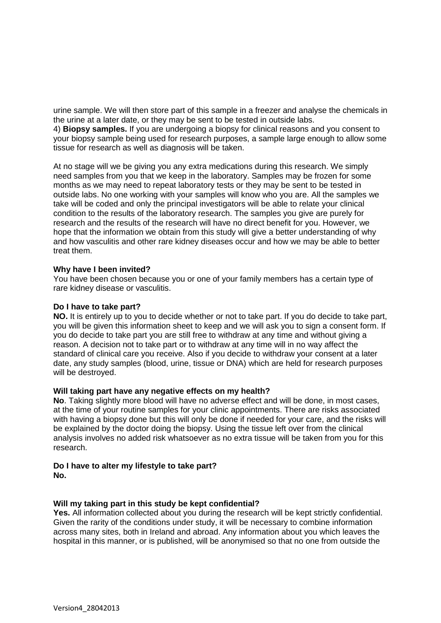urine sample. We will then store part of this sample in a freezer and analyse the chemicals in the urine at a later date, or they may be sent to be tested in outside labs.

4) **Biopsy samples.** If you are undergoing a biopsy for clinical reasons and you consent to your biopsy sample being used for research purposes, a sample large enough to allow some tissue for research as well as diagnosis will be taken.

At no stage will we be giving you any extra medications during this research. We simply need samples from you that we keep in the laboratory. Samples may be frozen for some months as we may need to repeat laboratory tests or they may be sent to be tested in outside labs. No one working with your samples will know who you are. All the samples we take will be coded and only the principal investigators will be able to relate your clinical condition to the results of the laboratory research. The samples you give are purely for research and the results of the research will have no direct benefit for you. However, we hope that the information we obtain from this study will give a better understanding of why and how vasculitis and other rare kidney diseases occur and how we may be able to better treat them.

## **Why have I been invited?**

You have been chosen because you or one of your family members has a certain type of rare kidney disease or vasculitis.

#### **Do I have to take part?**

**NO.** It is entirely up to you to decide whether or not to take part. If you do decide to take part, you will be given this information sheet to keep and we will ask you to sign a consent form. If you do decide to take part you are still free to withdraw at any time and without giving a reason. A decision not to take part or to withdraw at any time will in no way affect the standard of clinical care you receive. Also if you decide to withdraw your consent at a later date, any study samples (blood, urine, tissue or DNA) which are held for research purposes will be destroyed.

#### **Will taking part have any negative effects on my health?**

**No**. Taking slightly more blood will have no adverse effect and will be done, in most cases, at the time of your routine samples for your clinic appointments. There are risks associated with having a biopsy done but this will only be done if needed for your care, and the risks will be explained by the doctor doing the biopsy. Using the tissue left over from the clinical analysis involves no added risk whatsoever as no extra tissue will be taken from you for this research.

# **Do I have to alter my lifestyle to take part?**

**No.**

# **Will my taking part in this study be kept confidential?**

**Yes.** All information collected about you during the research will be kept strictly confidential. Given the rarity of the conditions under study, it will be necessary to combine information across many sites, both in Ireland and abroad. Any information about you which leaves the hospital in this manner, or is published, will be anonymised so that no one from outside the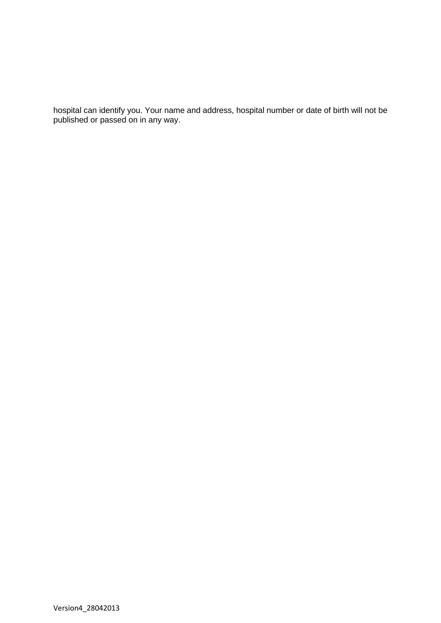hospital can identify you. Your name and address, hospital number or date of birth will not be published or passed on in any way.